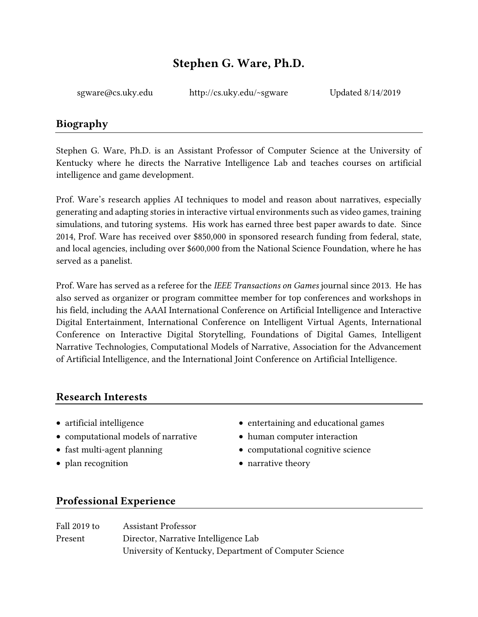# Stephen G. Ware, Ph.D.

[sgware@cs.uky.edu](mailto:sgware@ncsu.edu) [http://cs.uky.edu/~sgware](http://nil.cs.uno.edu/) Updated 8/14/2019

## Biography

Stephen G. Ware, Ph.D. is an Assistant Professor of Computer Science at the University of Kentucky where he directs the Narrative Intelligence Lab and teaches courses on artificial intelligence and game development.

Prof. Ware's research applies AI techniques to model and reason about narratives, especially generating and adapting stories in interactive virtual environments such as video games, training simulations, and tutoring systems. His work has earned three best paper awards to date. Since 2014, Prof. Ware has received over \$850,000 in sponsored research funding from federal, state, and local agencies, including over \$600,000 from the National Science Foundation, where he has served as a panelist.

Prof. Ware has served as a referee for the *IEEE Transactions on Games* journal since 2013. He has also served as organizer or program committee member for top conferences and workshops in his field, including the AAAI International Conference on Artificial Intelligence and Interactive Digital Entertainment, International Conference on Intelligent Virtual Agents, International Conference on Interactive Digital Storytelling, Foundations of Digital Games, Intelligent Narrative Technologies, Computational Models of Narrative, Association for the Advancement of Artificial Intelligence, and the International Joint Conference on Artificial Intelligence.

## Research Interests

- 
- computational models of narrative human computer interaction
- 
- plan recognition narrative theory
- artificial intelligence entertaining and educational games
	-
- fast multi-agent planning computational cognitive science
	-

## Professional Experience

| Fall 2019 to | <b>Assistant Professor</b>                             |
|--------------|--------------------------------------------------------|
| Present      | Director, Narrative Intelligence Lab                   |
|              | University of Kentucky, Department of Computer Science |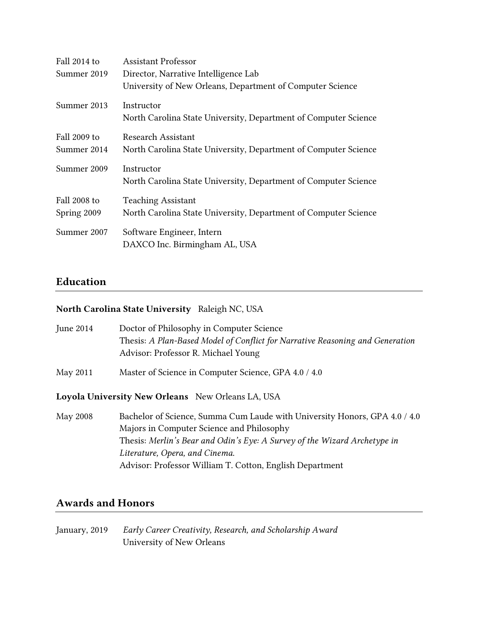| Fall 2014 to | Assistant Professor                                             |
|--------------|-----------------------------------------------------------------|
| Summer 2019  | Director, Narrative Intelligence Lab                            |
|              | University of New Orleans, Department of Computer Science       |
| Summer 2013  | Instructor                                                      |
|              | North Carolina State University, Department of Computer Science |
| Fall 2009 to | Research Assistant                                              |
| Summer 2014  | North Carolina State University, Department of Computer Science |
| Summer 2009  | Instructor                                                      |
|              | North Carolina State University, Department of Computer Science |
| Fall 2008 to | <b>Teaching Assistant</b>                                       |
| Spring 2009  | North Carolina State University, Department of Computer Science |
| Summer 2007  | Software Engineer, Intern                                       |
|              | DAXCO Inc. Birmingham AL, USA                                   |

## Education

#### North Carolina State University Raleigh NC, USA

| <b>June 2014</b> | Doctor of Philosophy in Computer Science                                                                             |
|------------------|----------------------------------------------------------------------------------------------------------------------|
|                  | Thesis: A Plan-Based Model of Conflict for Narrative Reasoning and Generation<br>Advisor: Professor R. Michael Young |
| May 2011         | Master of Science in Computer Science, GPA 4.0 / 4.0                                                                 |

Loyola University New Orleans New Orleans LA, USA

May 2008 Bachelor of Science, Summa Cum Laude with University Honors, GPA 4.0 / 4.0 Majors in Computer Science and Philosophy Thesis: *Merlin's Bear and Odin's Eye: A Survey of the Wizard Archetype in Literature, Opera, and Cinema*. Advisor: Professor William T. Cotton, English Department

## Awards and Honors

January, 2019 *Early Career Creativity, Research, and Scholarship Award* University of New Orleans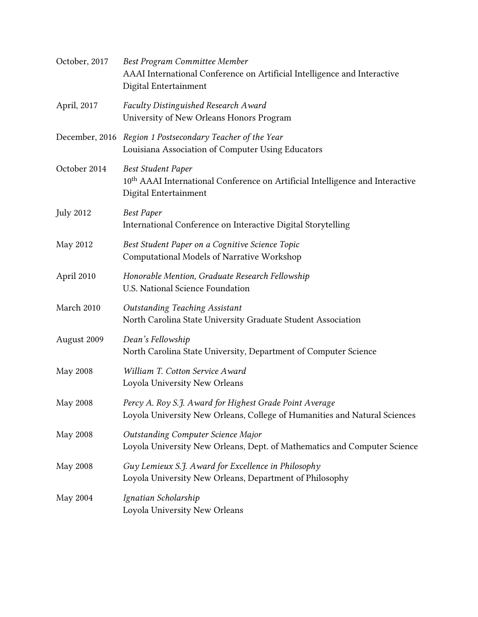| October, 2017    | Best Program Committee Member<br>AAAI International Conference on Artificial Intelligence and Interactive<br>Digital Entertainment              |
|------------------|-------------------------------------------------------------------------------------------------------------------------------------------------|
| April, 2017      | Faculty Distinguished Research Award<br>University of New Orleans Honors Program                                                                |
|                  | December, 2016 Region 1 Postsecondary Teacher of the Year<br>Louisiana Association of Computer Using Educators                                  |
| October 2014     | <b>Best Student Paper</b><br>10 <sup>th</sup> AAAI International Conference on Artificial Intelligence and Interactive<br>Digital Entertainment |
| <b>July 2012</b> | <b>Best Paper</b><br>International Conference on Interactive Digital Storytelling                                                               |
| May 2012         | Best Student Paper on a Cognitive Science Topic<br>Computational Models of Narrative Workshop                                                   |
| April 2010       | Honorable Mention, Graduate Research Fellowship<br>U.S. National Science Foundation                                                             |
| March 2010       | <b>Outstanding Teaching Assistant</b><br>North Carolina State University Graduate Student Association                                           |
| August 2009      | Dean's Fellowship<br>North Carolina State University, Department of Computer Science                                                            |
| <b>May 2008</b>  | William T. Cotton Service Award<br>Loyola University New Orleans                                                                                |
| May 2008         | Percy A. Roy S.J. Award for Highest Grade Point Average<br>Loyola University New Orleans, College of Humanities and Natural Sciences            |
| May 2008         | Outstanding Computer Science Major<br>Loyola University New Orleans, Dept. of Mathematics and Computer Science                                  |
| May 2008         | Guy Lemieux S.J. Award for Excellence in Philosophy<br>Loyola University New Orleans, Department of Philosophy                                  |
| May 2004         | Ignatian Scholarship<br>Loyola University New Orleans                                                                                           |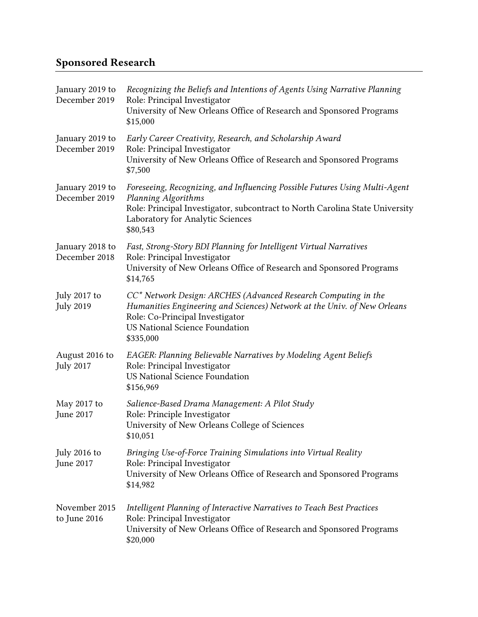# Sponsored Research

| January 2019 to<br>December 2019   | Recognizing the Beliefs and Intentions of Agents Using Narrative Planning<br>Role: Principal Investigator<br>University of New Orleans Office of Research and Sponsored Programs<br>\$15,000                                        |
|------------------------------------|-------------------------------------------------------------------------------------------------------------------------------------------------------------------------------------------------------------------------------------|
| January 2019 to<br>December 2019   | Early Career Creativity, Research, and Scholarship Award<br>Role: Principal Investigator<br>University of New Orleans Office of Research and Sponsored Programs<br>\$7,500                                                          |
| January 2019 to<br>December 2019   | Foreseeing, Recognizing, and Influencing Possible Futures Using Multi-Agent<br>Planning Algorithms<br>Role: Principal Investigator, subcontract to North Carolina State University<br>Laboratory for Analytic Sciences<br>\$80,543  |
| January 2018 to<br>December 2018   | Fast, Strong-Story BDI Planning for Intelligent Virtual Narratives<br>Role: Principal Investigator<br>University of New Orleans Office of Research and Sponsored Programs<br>\$14,765                                               |
| July 2017 to<br><b>July 2019</b>   | CC* Network Design: ARCHES (Advanced Research Computing in the<br>Humanities Engineering and Sciences) Network at the Univ. of New Orleans<br>Role: Co-Principal Investigator<br><b>US National Science Foundation</b><br>\$335,000 |
| August 2016 to<br><b>July 2017</b> | EAGER: Planning Believable Narratives by Modeling Agent Beliefs<br>Role: Principal Investigator<br><b>US National Science Foundation</b><br>\$156,969                                                                               |
| May 2017 to<br>June 2017           | Salience-Based Drama Management: A Pilot Study<br>Role: Principle Investigator<br>University of New Orleans College of Sciences<br>\$10,051                                                                                         |
| July 2016 to<br>June 2017          | Bringing Use-of-Force Training Simulations into Virtual Reality<br>Role: Principal Investigator<br>University of New Orleans Office of Research and Sponsored Programs<br>\$14,982                                                  |
| November 2015<br>to June 2016      | Intelligent Planning of Interactive Narratives to Teach Best Practices<br>Role: Principal Investigator<br>University of New Orleans Office of Research and Sponsored Programs<br>\$20,000                                           |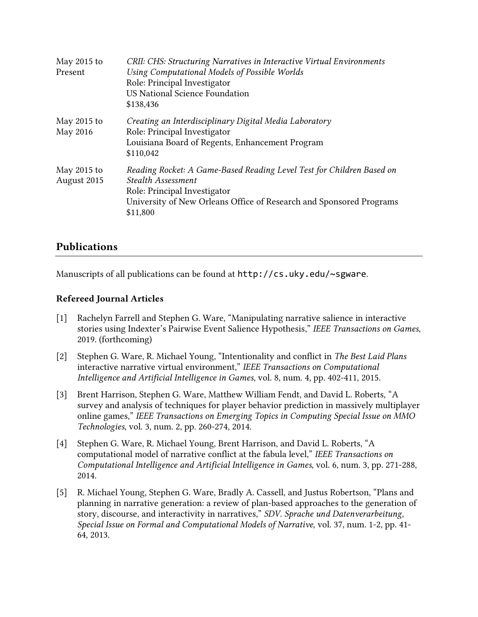| May 2015 to<br>Present     | CRII: CHS: Structuring Narratives in Interactive Virtual Environments<br>Using Computational Models of Possible Worlds<br>Role: Principal Investigator<br>US National Science Foundation<br>\$138,436                 |
|----------------------------|-----------------------------------------------------------------------------------------------------------------------------------------------------------------------------------------------------------------------|
| May 2015 to<br>May 2016    | Creating an Interdisciplinary Digital Media Laboratory<br>Role: Principal Investigator<br>Louisiana Board of Regents, Enhancement Program<br>\$110,042                                                                |
| May 2015 to<br>August 2015 | Reading Rocket: A Game-Based Reading Level Test for Children Based on<br><b>Stealth Assessment</b><br>Role: Principal Investigator<br>University of New Orleans Office of Research and Sponsored Programs<br>\$11,800 |

## Publications

Manuscripts of all publications can be found at  $http://cs.uky.edu/~sgware.$ 

#### Refereed Journal Articles

- [1] Rachelyn Farrell and Stephen G. Ware, "Manipulating narrative salience in interactive stories using Indexter's Pairwise Event Salience Hypothesis," *IEEE Transactions on Games*, 2019. (forthcoming)
- [2] Stephen G. Ware, R. Michael Young, "Intentionality and conflict in *The Best Laid Plans* interactive narrative virtual environment," *IEEE Transactions on Computational Intelligence and Artificial Intelligence in Games*, vol. 8, num. 4, pp. 402-411, 2015.
- [3] Brent Harrison, Stephen G. Ware, Matthew William Fendt, and David L. Roberts, "A survey and analysis of techniques for player behavior prediction in massively multiplayer online games," *IEEE Transactions on Emerging Topics in Computing Special Issue on MMO Technologies*, vol. 3, num. 2, pp. 260-274, 2014.
- [4] Stephen G. Ware, R. Michael Young, Brent Harrison, and David L. Roberts, "A computational model of narrative conflict at the fabula level," *IEEE Transactions on Computational Intelligence and Artificial Intelligence in Games*, vol. 6, num. 3, pp. 271-288, 2014.
- [5] R. Michael Young, Stephen G. Ware, Bradly A. Cassell, and Justus Robertson, "Plans and planning in narrative generation: a review of plan-based approaches to the generation of story, discourse, and interactivity in narratives," *SDV. Sprache und Datenverarbeitung*, *Special Issue on Formal and Computational Models of Narrative,* vol. 37, num. 1-2, pp. 41- 64, 2013.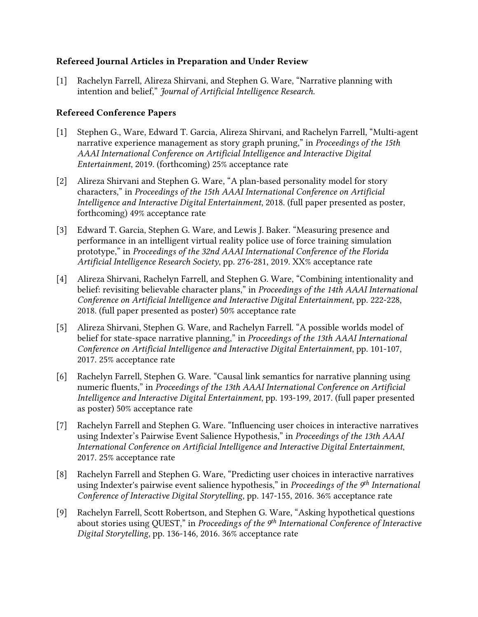#### Refereed Journal Articles in Preparation and Under Review

[1] Rachelyn Farrell, Alireza Shirvani, and Stephen G. Ware, "Narrative planning with intention and belief," *Journal of Artificial Intelligence Research*.

#### Refereed Conference Papers

- [1] Stephen G., Ware, Edward T. Garcia, Alireza Shirvani, and Rachelyn Farrell, "Multi-agent narrative experience management as story graph pruning," in *Proceedings of the 15th AAAI International Conference on Artificial Intelligence and Interactive Digital Entertainment*, 2019. (forthcoming) 25% acceptance rate
- [2] Alireza Shirvani and Stephen G. Ware, "A plan-based personality model for story characters," in *Proceedings of the 15th AAAI International Conference on Artificial Intelligence and Interactive Digital Entertainment*, 2018. (full paper presented as poster, forthcoming) 49% acceptance rate
- [3] Edward T. Garcia, Stephen G. Ware, and Lewis J. Baker. "Measuring presence and performance in an intelligent virtual reality police use of force training simulation prototype," in *Proceedings of the 32nd AAAI International Conference of the Florida Artificial Intelligence Research Society*, pp. 276-281, 2019. XX% acceptance rate
- [4] Alireza Shirvani, Rachelyn Farrell, and Stephen G. Ware, "Combining intentionality and belief: revisiting believable character plans," in *Proceedings of the 14th AAAI International Conference on Artificial Intelligence and Interactive Digital Entertainment*, pp. 222-228, 2018. (full paper presented as poster) 50% acceptance rate
- [5] Alireza Shirvani, Stephen G. Ware, and Rachelyn Farrell. "A possible worlds model of belief for state-space narrative planning," in *Proceedings of the 13th AAAI International Conference on Artificial Intelligence and Interactive Digital Entertainment*, pp. 101-107, 2017. 25% acceptance rate
- [6] Rachelyn Farrell, Stephen G. Ware. "Causal link semantics for narrative planning using numeric fluents," in *Proceedings of the 13th AAAI International Conference on Artificial Intelligence and Interactive Digital Entertainment*, pp. 193-199, 2017. (full paper presented as poster) 50% acceptance rate
- [7] Rachelyn Farrell and Stephen G. Ware. "Influencing user choices in interactive narratives using Indexter's Pairwise Event Salience Hypothesis," in *Proceedings of the 13th AAAI International Conference on Artificial Intelligence and Interactive Digital Entertainment*, 2017. 25% acceptance rate
- [8] Rachelyn Farrell and Stephen G. Ware, "Predicting user choices in interactive narratives using Indexter's pairwise event salience hypothesis," in *Proceedings of the 9th International Conference of Interactive Digital Storytelling*, pp. 147-155, 2016. 36% acceptance rate
- [9] Rachelyn Farrell, Scott Robertson, and Stephen G. Ware, "Asking hypothetical questions about stories using QUEST," in *Proceedings of the 9th International Conference of Interactive Digital Storytelling*, pp. 136-146, 2016. 36% acceptance rate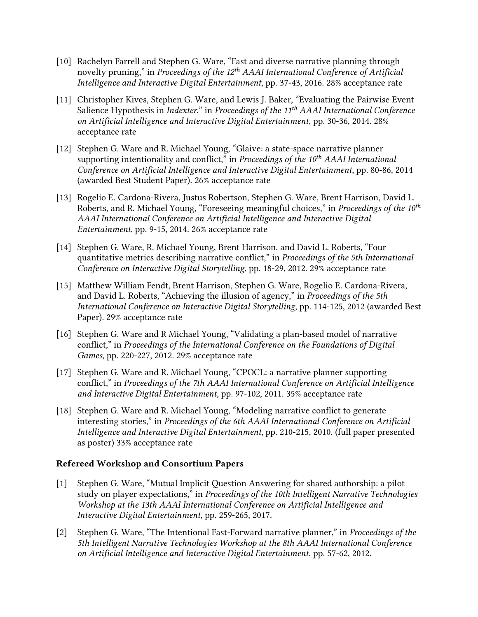- [10] Rachelyn Farrell and Stephen G. Ware, "Fast and diverse narrative planning through novelty pruning," in *Proceedings of the 12th AAAI International Conference of Artificial Intelligence and Interactive Digital Entertainment*, pp. 37-43, 2016. 28% acceptance rate
- [11] Christopher Kives, Stephen G. Ware, and Lewis J. Baker, "Evaluating the Pairwise Event Salience Hypothesis in *Indexter*," in *Proceedings of the 11th AAAI International Conference on Artificial Intelligence and Interactive Digital Entertainment*, pp. 30-36, 2014. 28% acceptance rate
- [12] Stephen G. Ware and R. Michael Young, "Glaive: a state-space narrative planner supporting intentionality and conflict," in *Proceedings of the 10th AAAI International Conference on Artificial Intelligence and Interactive Digital Entertainment*, pp. 80-86, 2014 (awarded Best Student Paper). 26% acceptance rate
- [13] Rogelio E. Cardona-Rivera, Justus Robertson, Stephen G. Ware, Brent Harrison, David L. Roberts, and R. Michael Young, "Foreseeing meaningful choices," in *Proceedings of the 10th AAAI International Conference on Artificial Intelligence and Interactive Digital Entertainment*, pp. 9-15, 2014. 26% acceptance rate
- [14] Stephen G. Ware, R. Michael Young, Brent Harrison, and David L. Roberts, "[Four](http://stephengware.com/publications/ware2012metrics.pdf)  [quantitative metrics describing narrative conflict,](http://stephengware.com/publications/ware2012metrics.pdf)" in *Proceedings of the 5th International Conference on Interactive Digital Storytelling*, pp. 18-29, 2012. 29% acceptance rate
- [15] Matthew William Fendt, Brent Harrison, Stephen G. Ware, Rogelio E. Cardona-Rivera, and David L. Roberts, "[Achieving the illusion of agency,](http://stephengware.com/publications/fendt2012achieving.pdf)" in *Proceedings of the 5th International Conference on Interactive Digital Storytelling*, pp. 114-125, 2012 (awarded Best Paper). 29% acceptance rate
- [16] Stephen G. Ware and R Michael Young, "Validating a plan-based model of narrative [conflict,](http://stephengware.com/publications/ware2012validating.pdf)" in *Proceedings of the International Conference on the Foundations of Digital Games*, pp. 220-227, 2012. 29% acceptance rate
- [17] Stephen G. Ware and R. Michael Young, "[CPOCL: a narrative planner supporting](http://stephengware.com/publications/ware2011cpocl.pdf)  [conflict,](http://stephengware.com/publications/ware2011cpocl.pdf)" in *Proceedings of the 7th AAAI International Conference on Artificial Intelligence and Interactive Digital Entertainment*, pp. 97-102, 2011. 35% acceptance rate
- [18] Stephen G. Ware and R. Michael Young, "[Modeling narrative conflict to generate](http://stephengware.com/publications/ware2010modeling.pdf)  [interesting stories,](http://stephengware.com/publications/ware2010modeling.pdf)" in *Proceedings of the 6th AAAI International Conference on Artificial Intelligence and Interactive Digital Entertainment*, pp. 210-215, 2010. (full paper presented as poster) 33% acceptance rate

#### Refereed Workshop and Consortium Papers

- [1] Stephen G. Ware, "Mutual Implicit Question Answering for shared authorship: a pilot study on player expectations," in *Proceedings of the 10th Intelligent Narrative Technologies Workshop at the 13th AAAI International Conference on Artificial Intelligence and Interactive Digital Entertainment*, pp. 259-265, 2017.
- [2] Stephen G. Ware, "[The Intentional Fast-Forward narrative planner,](http://stephengware.com/publications/ware2012iff.pdf)" in *Proceedings of the 5th Intelligent Narrative Technologies Workshop at the 8th AAAI International Conference on Artificial Intelligence and Interactive Digital Entertainment*, pp. 57-62, 2012.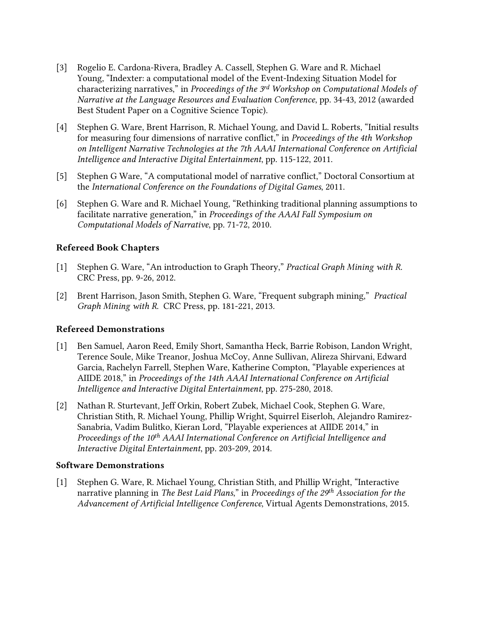- [3] Rogelio E. Cardona-Rivera, Bradley A. Cassell, Stephen G. Ware and R. Michael Young, "Indexter: a [computational model of the Event-Indexing Situation Model for](http://stephengware.com/publications/cardonarivera2012indexter.pdf)  [characterizing narratives,](http://stephengware.com/publications/cardonarivera2012indexter.pdf)" in *Proceedings of the 3 rd Workshop on Computational Models of Narrative at the Language Resources and Evaluation Conference*, pp. 34-43, 2012 (awarded Best Student Paper on a Cognitive Science Topic).
- [4] Stephen G. Ware, Brent Harrison, R. Michael Young, and David L. Roberts, "[Initial results](http://stephengware.com/publications/ware2011initial.pdf)  [for measuring four dimensions of narrative conflict,](http://stephengware.com/publications/ware2011initial.pdf)" in *Proceedings of the 4th Workshop on Intelligent Narrative Technologies at the 7th AAAI International Conference on Artificial Intelligence and Interactive Digital Entertainment*, pp. 115-122, 2011.
- [5] Stephen G Ware, "[A computational model of narrative conflict,](http://stephengware.com/publications/ware2011computational.pdf)" Doctoral Consortium at the *International Conference on the Foundations of Digital Games*, 2011.
- [6] Stephen G. Ware and R. Michael Young, "[Rethinking traditional planning assumptions to](http://stephengware.com/publications/ware2010rethinking.pdf)  [facilitate narrative generation,](http://stephengware.com/publications/ware2010rethinking.pdf)" in *Proceedings of the AAAI Fall Symposium on Computational Models of Narrative*, pp. 71-72, 2010.

#### Refereed Book Chapters

- [1] Stephen G. Ware, "[An introduction to Graph Theory,](http://www.crcpress.com/product/isbn/9781439860847)" *Practical Graph Mining with R*. CRC Press, pp. 9-26, 2012.
- [2] Brent Harrison, Jason Smith, Stephen G. Ware, "[Frequent subgraph mining,](http://www.crcpress.com/product/isbn/9781439860847)" *Practical Graph Mining with R*. CRC Press, pp. 181-221, 2013.

#### Refereed Demonstrations

- [1] Ben Samuel, Aaron Reed, Emily Short, Samantha Heck, Barrie Robison, Landon Wright, Terence Soule, Mike Treanor, Joshua McCoy, Anne Sullivan, Alireza Shirvani, Edward Garcia, Rachelyn Farrell, Stephen Ware, Katherine Compton, "Playable experiences at AIIDE 2018," in *Proceedings of the 14th AAAI International Conference on Artificial Intelligence and Interactive Digital Entertainment*, pp. 275-280, 2018.
- [2] Nathan R. Sturtevant, Jeff Orkin, Robert Zubek, Michael Cook, Stephen G. Ware, Christian Stith, R. Michael Young, Phillip Wright, Squirrel Eiserloh, Alejandro Ramirez-Sanabria, Vadim Bulitko, Kieran Lord, "Playable experiences at AIIDE 2014," in *Proceedings of the 10th AAAI International Conference on Artificial Intelligence and Interactive Digital Entertainment*, pp. 203-209, 2014.

#### Software Demonstrations

[1] Stephen G. Ware, R. Michael Young, Christian Stith, and Phillip Wright, "Interactive narrative planning in *The Best Laid Plans*," in *Proceedings of the 29th Association for the Advancement of Artificial Intelligence Conference*, Virtual Agents Demonstrations, 2015.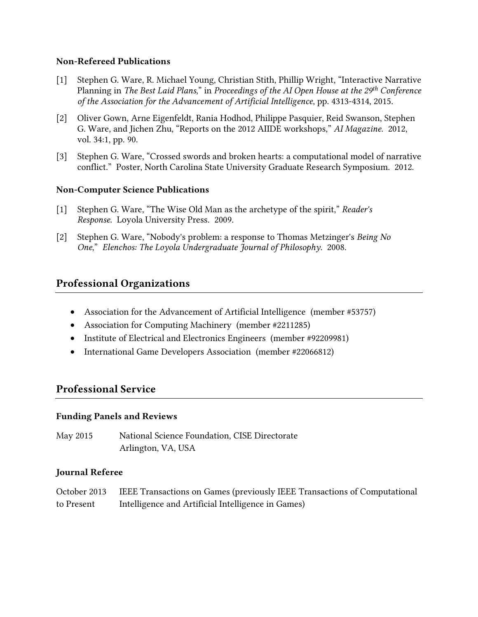#### Non-Refereed Publications

- [1] Stephen G. Ware, R. Michael Young, Christian Stith, Phillip Wright, "Interactive Narrative Planning in *The Best Laid Plans*," in *Proceedings of the AI Open House at the 29th Conference of the Association for the Advancement of Artificial Intelligence*, pp. 4313-4314, 2015.
- [2] Oliver Gown, Arne Eigenfeldt, Rania Hodhod, Philippe Pasquier, Reid Swanson, Stephen G. Ware, and Jichen Zhu, "[Reports on the 2012 AIIDE workshops,](http://www.aaai.org/ojs/index.php/aimagazine/article/view/2459)" *AI Magazine*. 2012, vol. 34:1, pp. 90.
- [3] Stephen G. Ware, "Crossed swords and broken hearts: a computational model of narrative conflict." Poster, North Carolina State University Graduate Research Symposium. 2012.

#### Non-Computer Science Publications

- [1] Stephen G. Ware, "The Wise Old Man as the archetype of the spirit," *Reader's Response*. Loyola University Press. 2009.
- [2] Stephen G. Ware, "[Nobody's problem: a response to Thomas Metzinger's](http://stephengware.com/publications/ware2008nobodys.pdf) *Being No [One](http://stephengware.com/publications/ware2008nobodys.pdf)*," *Elenchos: The Loyola Undergraduate Journal of Philosophy*. 2008.

## Professional Organizations

- Association for the Advancement of Artificial Intelligence (member #53757)
- Association for Computing Machinery (member #2211285)
- Institute of Electrical and Electronics Engineers (member #92209981)
- International Game Developers Association (member #22066812)

## Professional Service

#### Funding Panels and Reviews

May 2015 National Science Foundation, CISE Directorate Arlington, VA, USA

#### Journal Referee

|            | October 2013    IEEE Transactions on Games (previously IEEE Transactions of Computational |
|------------|-------------------------------------------------------------------------------------------|
| to Present | Intelligence and Artificial Intelligence in Games)                                        |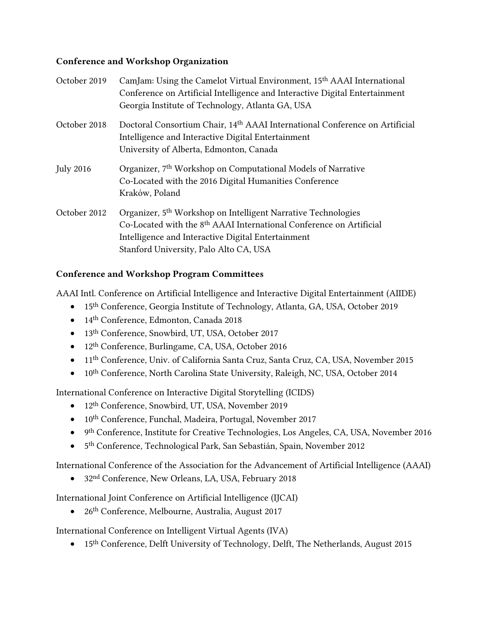#### Conference and Workshop Organization

| October 2019     | CamJam: Using the Camelot Virtual Environment, 15 <sup>th</sup> AAAI International |
|------------------|------------------------------------------------------------------------------------|
|                  | Conference on Artificial Intelligence and Interactive Digital Entertainment        |
|                  | Georgia Institute of Technology, Atlanta GA, USA                                   |
| October 2018     | Doctoral Consortium Chair, 14th AAAI International Conference on Artificial        |
|                  | Intelligence and Interactive Digital Entertainment                                 |
|                  | University of Alberta, Edmonton, Canada                                            |
| <b>July 2016</b> | Organizer, 7 <sup>th</sup> Workshop on Computational Models of Narrative           |
|                  | Co-Located with the 2016 Digital Humanities Conference                             |
|                  | Kraków, Poland                                                                     |
| October 2012     | Organizer, 5 <sup>th</sup> Workshop on Intelligent Narrative Technologies          |
|                  | Co-Located with the 8 <sup>th</sup> AAAI International Conference on Artificial    |
|                  | Intelligence and Interactive Digital Entertainment                                 |
|                  | Stanford University, Palo Alto CA, USA                                             |
|                  |                                                                                    |

#### Conference and Workshop Program Committees

AAAI Intl. Conference on Artificial Intelligence and Interactive Digital Entertainment (AIIDE)

- 15th Conference, Georgia Institute of Technology, Atlanta, GA, USA, October 2019
- 14th Conference, Edmonton, Canada 2018
- 13<sup>th</sup> Conference, Snowbird, UT, USA, October 2017
- 12<sup>th</sup> Conference, Burlingame, CA, USA, October 2016
- 11th Conference, Univ. of California Santa Cruz, Santa Cruz, CA, USA, November 2015
- 10<sup>th</sup> Conference, North Carolina State University, Raleigh, NC, USA, October 2014

International Conference on Interactive Digital Storytelling (ICIDS)

- 12<sup>th</sup> Conference, Snowbird, UT, USA, November 2019
- 10th Conference, Funchal, Madeira, Portugal, November 2017
- 9<sup>th</sup> Conference, Institute for Creative Technologies, Los Angeles, CA, USA, November 2016
- 5 th Conference, Technological Park, San Sebastián, Spain, November 2012

International Conference of the Association for the Advancement of Artificial Intelligence (AAAI)

• 32nd Conference, New Orleans, LA, USA, February 2018

International Joint Conference on Artificial Intelligence (IJCAI)

• 26<sup>th</sup> Conference, Melbourne, Australia, August 2017

International Conference on Intelligent Virtual Agents (IVA)

• 15<sup>th</sup> Conference, Delft University of Technology, Delft, The Netherlands, August 2015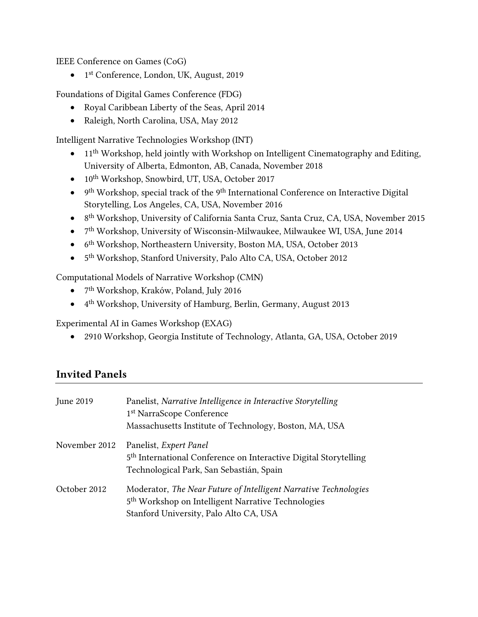IEEE Conference on Games (CoG)

• 1 st Conference, London, UK, August, 2019

Foundations of Digital Games Conference (FDG)

- Royal Caribbean Liberty of the Seas, April 2014
- Raleigh, North Carolina, USA, May 2012

Intelligent Narrative Technologies Workshop (INT)

- $11<sup>th</sup> Workshop, held jointly with Workshop on Intelligent Cinematography and Editing,$ University of Alberta, Edmonton, AB, Canada, November 2018
- 10<sup>th</sup> Workshop, Snowbird, UT, USA, October 2017
- 9<sup>th</sup> Workshop, special track of the 9<sup>th</sup> International Conference on Interactive Digital Storytelling, Los Angeles, CA, USA, November 2016
- 8<sup>th</sup> Workshop, University of California Santa Cruz, Santa Cruz, CA, USA, November 2015
- 7 th Workshop, University of Wisconsin-Milwaukee, Milwaukee WI, USA, June 2014
- 6<sup>th</sup> Workshop, Northeastern University, Boston MA, USA, October 2013
- 5<sup>th</sup> Workshop, Stanford University, Palo Alto CA, USA, October 2012

Computational Models of Narrative Workshop (CMN)

- $\bullet$ 7<sup>th</sup> Workshop, Kraków, Poland, July 2016
- 4 th Workshop, University of Hamburg, Berlin, Germany, August 2013

Experimental AI in Games Workshop (EXAG)

• 2910 Workshop, Georgia Institute of Technology, Atlanta, GA, USA, October 2019

## Invited Panels

| June 2019     | Panelist, Narrative Intelligence in Interactive Storytelling<br>1 <sup>st</sup> NarraScope Conference<br>Massachusetts Institute of Technology, Boston, MA, USA              |
|---------------|------------------------------------------------------------------------------------------------------------------------------------------------------------------------------|
| November 2012 | Panelist, Expert Panel<br>5 <sup>th</sup> International Conference on Interactive Digital Storytelling<br>Technological Park, San Sebastián, Spain                           |
| October 2012  | Moderator, The Near Future of Intelligent Narrative Technologies<br>5 <sup>th</sup> Workshop on Intelligent Narrative Technologies<br>Stanford University, Palo Alto CA, USA |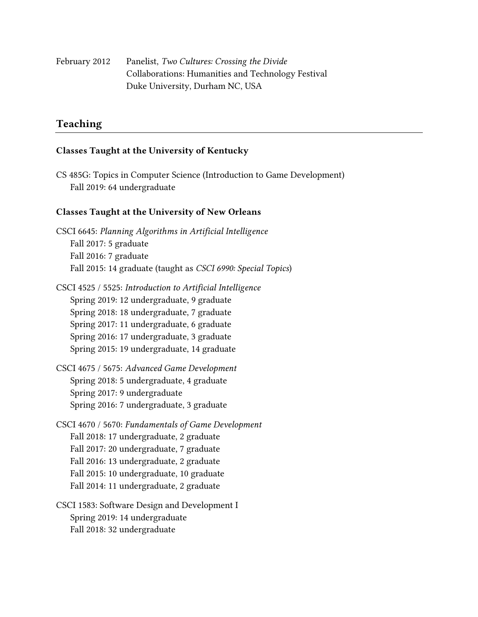February 2012 Panelist, *Two Cultures: Crossing the Divide* Collaborations: Humanities and Technology Festival Duke University, Durham NC, USA

## Teaching

#### Classes Taught at the University of Kentucky

CS 485G: Topics in Computer Science (Introduction to Game Development) Fall 2019: 64 undergraduate

#### Classes Taught at the University of New Orleans

CSCI 6645: *Planning Algorithms in Artificial Intelligence* Fall 2017: 5 graduate Fall 2016: 7 graduate Fall 2015: 14 graduate (taught as *CSCI 6990: Special Topics*)

- CSCI 4525 / 5525: *Introduction to Artificial Intelligence* Spring 2019: 12 undergraduate, 9 graduate Spring 2018: 18 undergraduate, 7 graduate Spring 2017: 11 undergraduate, 6 graduate Spring 2016: 17 undergraduate, 3 graduate Spring 2015: 19 undergraduate, 14 graduate
- CSCI 4675 / 5675: *Advanced Game Development* Spring 2018: 5 undergraduate, 4 graduate Spring 2017: 9 undergraduate Spring 2016: 7 undergraduate, 3 graduate
- CSCI 4670 / 5670: *Fundamentals of Game Development* Fall 2018: 17 undergraduate, 2 graduate Fall 2017: 20 undergraduate, 7 graduate Fall 2016: 13 undergraduate, 2 graduate Fall 2015: 10 undergraduate, 10 graduate Fall 2014: 11 undergraduate, 2 graduate
- CSCI 1583: Software Design and Development I Spring 2019: 14 undergraduate Fall 2018: 32 undergraduate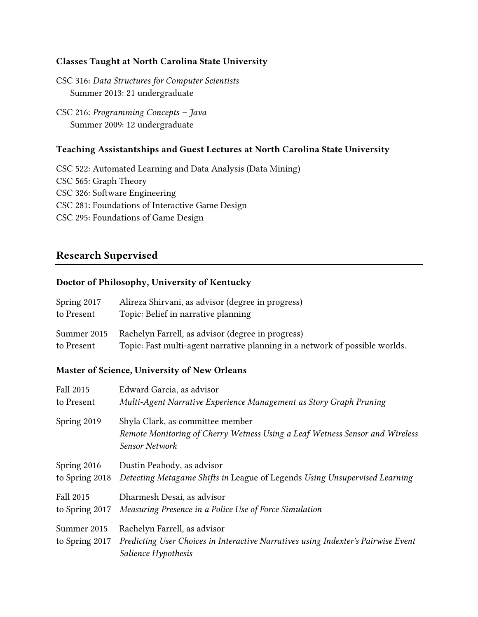#### Classes Taught at North Carolina State University

CSC 316: *Data Structures for Computer Scientists* Summer 2013: 21 undergraduate

CSC 216: *Programming Concepts – Java* Summer 2009: 12 undergraduate

#### Teaching Assistantships and Guest Lectures at North Carolina State University

CSC 522: Automated Learning and Data Analysis (Data Mining) CSC 565: Graph Theory CSC 326: Software Engineering CSC 281: Foundations of Interactive Game Design CSC 295: Foundations of Game Design

## Research Supervised

#### Doctor of Philosophy, University of Kentucky

| Spring 2017               | Alireza Shirvani, as advisor (degree in progress)                                                                                |
|---------------------------|----------------------------------------------------------------------------------------------------------------------------------|
| to Present                | Topic: Belief in narrative planning                                                                                              |
| Summer 2015<br>to Present | Rachelyn Farrell, as advisor (degree in progress)<br>Topic: Fast multi-agent narrative planning in a network of possible worlds. |

#### Master of Science, University of New Orleans

| <b>Fall 2015</b>              | Edward Garcia, as advisor                                                                                                                |
|-------------------------------|------------------------------------------------------------------------------------------------------------------------------------------|
| to Present                    | Multi-Agent Narrative Experience Management as Story Graph Pruning                                                                       |
| Spring 2019                   | Shyla Clark, as committee member<br>Remote Monitoring of Cherry Wetness Using a Leaf Wetness Sensor and Wireless<br>Sensor Network       |
| Spring 2016                   | Dustin Peabody, as advisor                                                                                                               |
| to Spring 2018                | Detecting Metagame Shifts in League of Legends Using Unsupervised Learning                                                               |
| <b>Fall 2015</b>              | Dharmesh Desai, as advisor                                                                                                               |
| to Spring 2017                | Measuring Presence in a Police Use of Force Simulation                                                                                   |
| Summer 2015<br>to Spring 2017 | Rachelyn Farrell, as advisor<br>Predicting User Choices in Interactive Narratives using Indexter's Pairwise Event<br>Salience Hypothesis |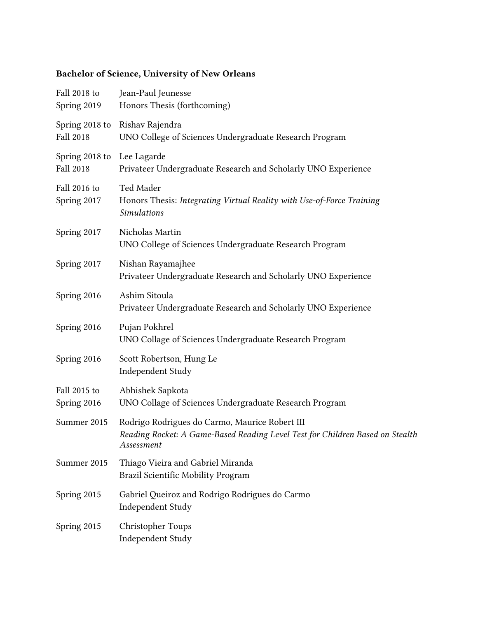# Bachelor of Science, University of New Orleans

| Fall 2018 to<br>Spring 2019        | Jean-Paul Jeunesse<br>Honors Thesis (forthcoming)                                                                                             |
|------------------------------------|-----------------------------------------------------------------------------------------------------------------------------------------------|
| Spring 2018 to<br><b>Fall 2018</b> | Rishav Rajendra<br>UNO College of Sciences Undergraduate Research Program                                                                     |
| Spring 2018 to<br><b>Fall 2018</b> | Lee Lagarde<br>Privateer Undergraduate Research and Scholarly UNO Experience                                                                  |
| Fall 2016 to<br>Spring 2017        | Ted Mader<br>Honors Thesis: Integrating Virtual Reality with Use-of-Force Training<br><b>Simulations</b>                                      |
| Spring 2017                        | Nicholas Martin<br>UNO College of Sciences Undergraduate Research Program                                                                     |
| Spring 2017                        | Nishan Rayamajhee<br>Privateer Undergraduate Research and Scholarly UNO Experience                                                            |
| Spring 2016                        | Ashim Sitoula<br>Privateer Undergraduate Research and Scholarly UNO Experience                                                                |
| Spring 2016                        | Pujan Pokhrel<br>UNO Collage of Sciences Undergraduate Research Program                                                                       |
| Spring 2016                        | Scott Robertson, Hung Le<br>Independent Study                                                                                                 |
| Fall 2015 to<br>Spring 2016        | Abhishek Sapkota<br>UNO Collage of Sciences Undergraduate Research Program                                                                    |
| Summer 2015                        | Rodrigo Rodrigues do Carmo, Maurice Robert III<br>Reading Rocket: A Game-Based Reading Level Test for Children Based on Stealth<br>Assessment |
| Summer 2015                        | Thiago Vieira and Gabriel Miranda<br>Brazil Scientific Mobility Program                                                                       |
| Spring 2015                        | Gabriel Queiroz and Rodrigo Rodrigues do Carmo<br>Independent Study                                                                           |
| Spring 2015                        | Christopher Toups<br>Independent Study                                                                                                        |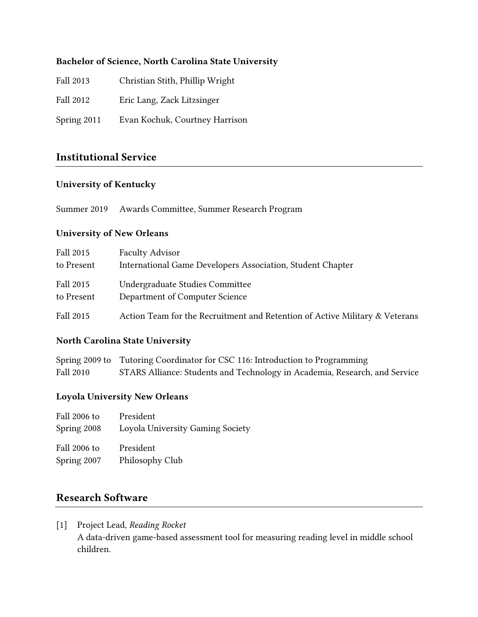#### Bachelor of Science, North Carolina State University

- Fall 2013 Christian Stith, Phillip Wright
- Fall 2012 Eric Lang, Zack Litzsinger
- Spring 2011 Evan Kochuk, Courtney Harrison

## Institutional Service

#### University of Kentucky

Summer 2019 Awards Committee, Summer Research Program

#### University of New Orleans

| Fall 2015  | <b>Faculty Advisor</b>                                                      |
|------------|-----------------------------------------------------------------------------|
| to Present | International Game Developers Association, Student Chapter                  |
| Fall 2015  | Undergraduate Studies Committee                                             |
| to Present | Department of Computer Science                                              |
| Fall 2015  | Action Team for the Recruitment and Retention of Active Military & Veterans |

#### North Carolina State University

Spring 2009 to Tutoring Coordinator for CSC 116: Introduction to Programming Fall 2010 STARS Alliance: Students and Technology in Academia, Research, and Service

#### Loyola University New Orleans

| Fall 2006 to                | President                        |
|-----------------------------|----------------------------------|
| Spring 2008                 | Loyola University Gaming Society |
| Fall 2006 to<br>Spring 2007 | President<br>Philosophy Club     |

## Research Software

[1] Project Lead, *Reading Rocket* A data-driven game-based assessment tool for measuring reading level in middle school children.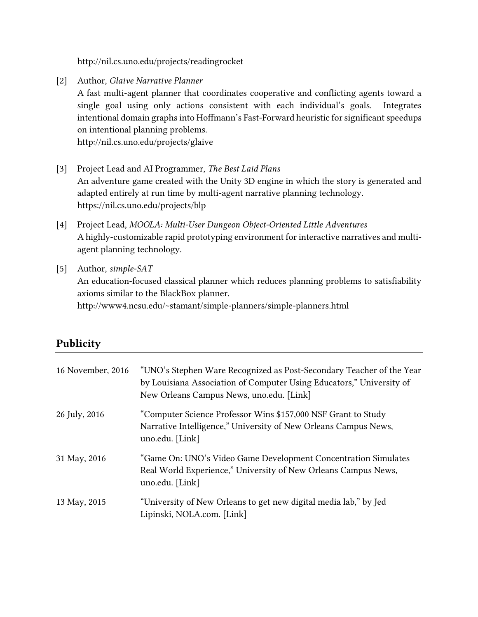http://nil.cs.uno.edu/projects/readingrocket

[2] Author, *Glaive Narrative Planner*

Publicity

A fast multi-agent planner that coordinates cooperative and conflicting agents toward a single goal using only actions consistent with each individual's goals. Integrates intentional domain graphs into Hoffmann's Fast-Forward heuristic for significant speedups on intentional planning problems.

[http://n](http://stephengware.com/projects/glaive)il.cs.uno.edu/projects/glaive

- [3] Project Lead and AI Programmer, *The Best Laid Plans* An adventure game created with the Unity 3D engine in which the story is generated and adapted entirely at run time by multi-agent narrative planning technology. https://nil.cs.uno.edu/projects/blp
- [4] Project Lead, *MOOLA: Multi-User Dungeon Object-Oriented Little Adventures* A highly-customizable rapid prototyping environment for interactive narratives and multiagent planning technology.
- [5] Author, *simple-SAT* An education-focused classical planner which reduces planning problems to satisfiability axioms similar to the BlackBox planner. <http://www4.ncsu.edu/~stamant/simple-planners/simple-planners.html>

| 16 November, 2016 | "UNO's Stephen Ware Recognized as Post-Secondary Teacher of the Year<br>by Louisiana Association of Computer Using Educators," University of<br>New Orleans Campus News, uno.edu. [Link] |
|-------------------|------------------------------------------------------------------------------------------------------------------------------------------------------------------------------------------|
| 26 July, 2016     | "Computer Science Professor Wins \$157,000 NSF Grant to Study<br>Narrative Intelligence," University of New Orleans Campus News,<br>uno.edu. [Link]                                      |
| 31 May, 2016      | "Game On: UNO's Video Game Development Concentration Simulates<br>Real World Experience," University of New Orleans Campus News,<br>uno.edu. [Link]                                      |
| 13 May, 2015      | "University of New Orleans to get new digital media lab," by Jed<br>Lipinski, NOLA.com. [Link]                                                                                           |